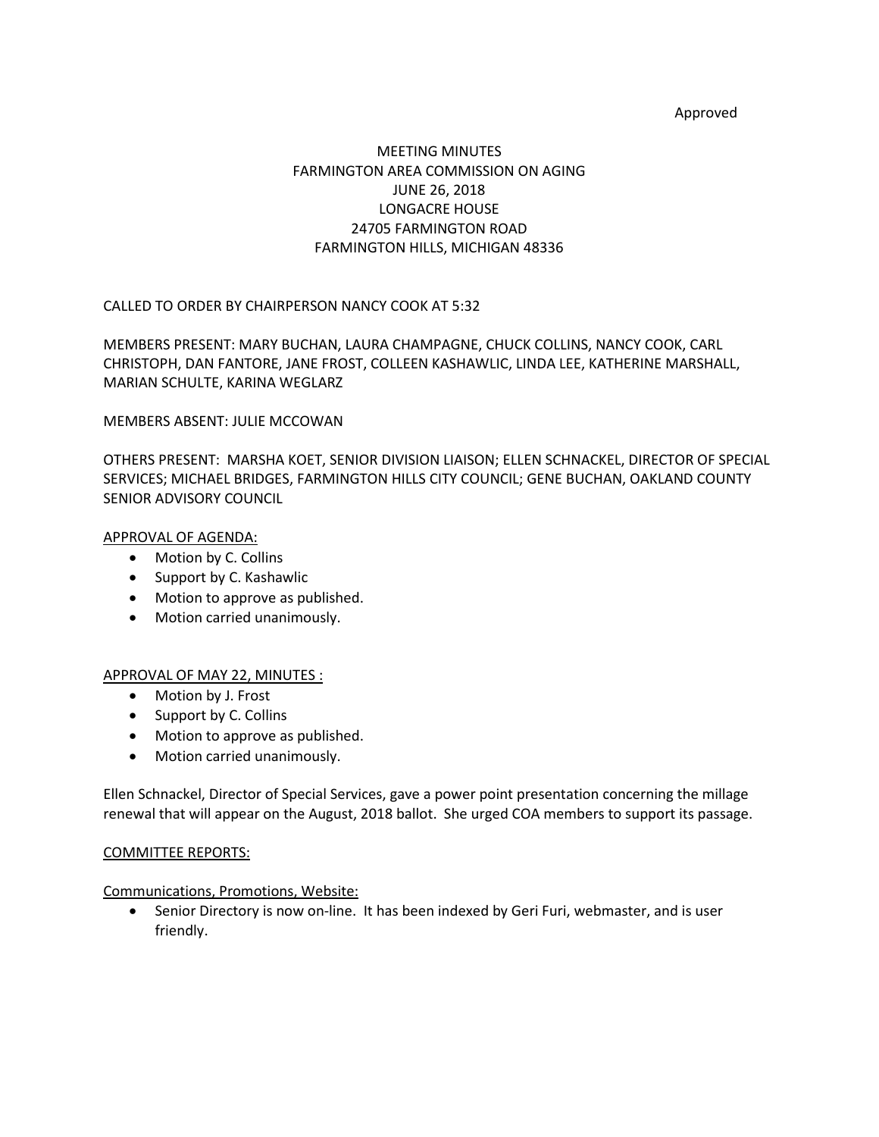### Approved

# MEETING MINUTES FARMINGTON AREA COMMISSION ON AGING JUNE 26, 2018 LONGACRE HOUSE 24705 FARMINGTON ROAD FARMINGTON HILLS, MICHIGAN 48336

CALLED TO ORDER BY CHAIRPERSON NANCY COOK AT 5:32

MEMBERS PRESENT: MARY BUCHAN, LAURA CHAMPAGNE, CHUCK COLLINS, NANCY COOK, CARL CHRISTOPH, DAN FANTORE, JANE FROST, COLLEEN KASHAWLIC, LINDA LEE, KATHERINE MARSHALL, MARIAN SCHULTE, KARINA WEGLARZ

### MEMBERS ABSENT: JULIE MCCOWAN

OTHERS PRESENT: MARSHA KOET, SENIOR DIVISION LIAISON; ELLEN SCHNACKEL, DIRECTOR OF SPECIAL SERVICES; MICHAEL BRIDGES, FARMINGTON HILLS CITY COUNCIL; GENE BUCHAN, OAKLAND COUNTY SENIOR ADVISORY COUNCIL

### APPROVAL OF AGENDA:

- Motion by C. Collins
- Support by C. Kashawlic
- Motion to approve as published.
- Motion carried unanimously.

# APPROVAL OF MAY 22, MINUTES :

- Motion by J. Frost
- Support by C. Collins
- Motion to approve as published.
- Motion carried unanimously.

Ellen Schnackel, Director of Special Services, gave a power point presentation concerning the millage renewal that will appear on the August, 2018 ballot. She urged COA members to support its passage.

### COMMITTEE REPORTS:

### Communications, Promotions, Website:

• Senior Directory is now on-line. It has been indexed by Geri Furi, webmaster, and is user friendly.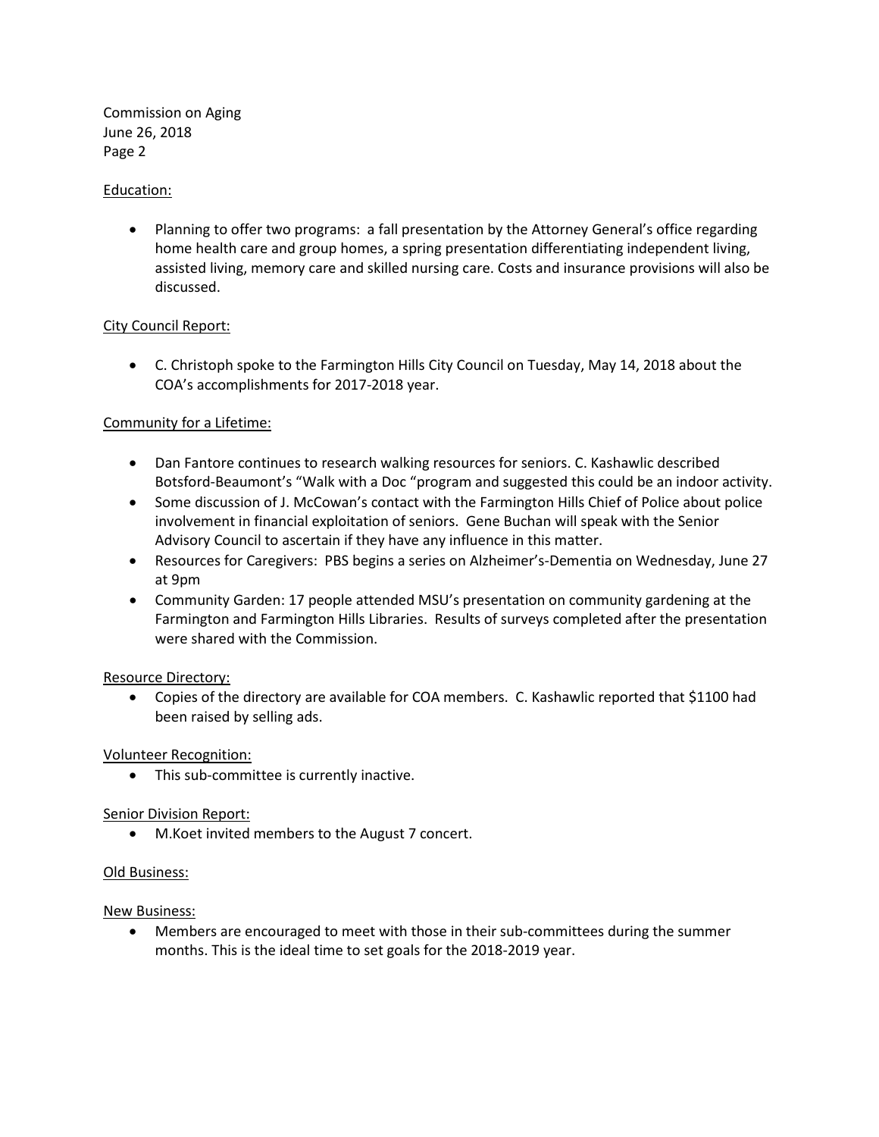Commission on Aging June 26, 2018 Page 2

## Education:

• Planning to offer two programs: a fall presentation by the Attorney General's office regarding home health care and group homes, a spring presentation differentiating independent living, assisted living, memory care and skilled nursing care. Costs and insurance provisions will also be discussed.

### City Council Report:

• C. Christoph spoke to the Farmington Hills City Council on Tuesday, May 14, 2018 about the COA's accomplishments for 2017-2018 year.

# Community for a Lifetime:

- Dan Fantore continues to research walking resources for seniors. C. Kashawlic described Botsford-Beaumont's "Walk with a Doc "program and suggested this could be an indoor activity.
- Some discussion of J. McCowan's contact with the Farmington Hills Chief of Police about police involvement in financial exploitation of seniors. Gene Buchan will speak with the Senior Advisory Council to ascertain if they have any influence in this matter.
- Resources for Caregivers: PBS begins a series on Alzheimer's-Dementia on Wednesday, June 27 at 9pm
- Community Garden: 17 people attended MSU's presentation on community gardening at the Farmington and Farmington Hills Libraries. Results of surveys completed after the presentation were shared with the Commission.

### Resource Directory:

• Copies of the directory are available for COA members. C. Kashawlic reported that \$1100 had been raised by selling ads.

### Volunteer Recognition:

• This sub-committee is currently inactive.

### Senior Division Report:

• M.Koet invited members to the August 7 concert.

### Old Business:

### New Business:

• Members are encouraged to meet with those in their sub-committees during the summer months. This is the ideal time to set goals for the 2018-2019 year.